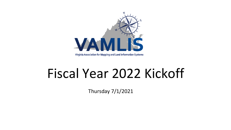

# Fiscal Year 2022 Kickoff

Thursday 7/1/2021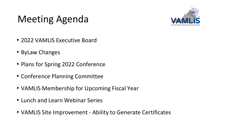### Meeting Agenda



- 2022 VAMLIS Executive Board
- ByLaw Changes
- Plans for Spring 2022 Conference
- Conference Planning Committee
- VAMLIS Membership for Upcoming Fiscal Year
- Lunch and Learn Webinar Series
- VAMLIS Site Improvement Ability to Generate Certificates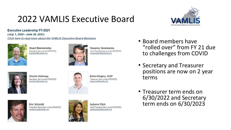#### 2022 VAMLIS Executive Board



**Executive Leadership FY-2021** (July 1, 2020 - June 30, 2021)

Click here to read more about the VAMLIS Executive Board Members



**Stuart Blankenship** President (term ends 6/30/2022) president@vamlis.org



**Yeoanny Venetsanos** Vice-President (term ends 6/30/2022) vicepresident@vamlis.org



Shonia Holloway Secretary (term ends 6/30/2023) secretary@vamlis.org



**Brian Kingery, GISP** Treasurer (term ends 6/30/2022) treasurer@vamlis.org



**Eric Schmidt** President-Elect (term ends 6/30/2022) conference@vamlis.org



- Board members have "rolled over" from FY 21 due to challenges from COVID
- Secretary and Treasurer positions are now on 2 year terms
- Treasurer term ends on 6/30/2022 and Secretary term ends on 6/30/2023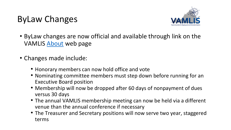#### ByLaw Changes



- ByLaw changes are now official and available through link on the VAMLIS [About](about:blank) web page
- Changes made include:
	- Honorary members can now hold office and vote
	- Nominating committee members must step down before running for an Executive Board position
	- Membership will now be dropped after 60 days of nonpayment of dues versus 30 days
	- The annual VAMLIS membership meeting can now be held via a different venue than the annual conference if necessary
	- The Treasurer and Secretary positions will now serve two year, staggered terms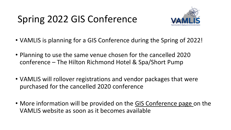# Spring 2022 GIS Conference



- VAMLIS is planning for a GIS Conference during the Spring of 2022!
- Planning to use the same venue chosen for the cancelled 2020 conference – The Hilton Richmond Hotel & Spa/Short Pump
- VAMLIS will rollover registrations and vendor packages that were purchased for the cancelled 2020 conference
- More information will be provided on the [GIS Conference page o](about:blank)n the VAMLIS website as soon as it becomes available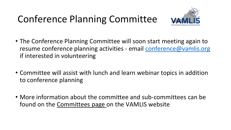## Conference Planning Committee



- The Conference Planning Committee will soon start meeting again to resume conference planning activities - email [conference@vamlis.org](about:blank) if interested in volunteering
- Committee will assist with lunch and learn webinar topics in addition to conference planning
- More information about the committee and sub-committees can be found on the [Committees page](about:blank) on the VAMLIS website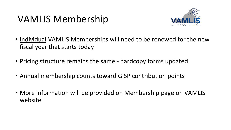#### VAMLIS Membership



- Individual VAMLIS Memberships will need to be renewed for the new fiscal year that starts today
- Pricing structure remains the same hardcopy forms updated
- Annual membership counts toward GISP contribution points
- More information will be provided on [Membership page](about:blank) on VAMLIS website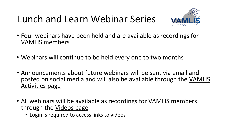#### Lunch and Learn Webinar Series



- Four webinars have been held and are available as recordings for VAMLIS members
- Webinars will continue to be held every one to two months
- Announcements about future webinars will be sent via email and [posted on social media and will also be available through the VAMLIS](about:blank)  Activities page
- All webinars will be available as recordings for VAMLIS members through the [Videos page](about:blank)
	- Login is required to access links to videos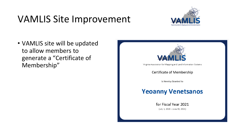#### VAMLIS Site Improvement



• VAMLIS site will be updated to allow members to generate a "Certificate of Membership"



Certificate of Membership

is Hereby Granted to

#### **Yeoanny Venetsanos**

for Fiscal Year 2021 (July 1, 2020 - June 30, 2021)